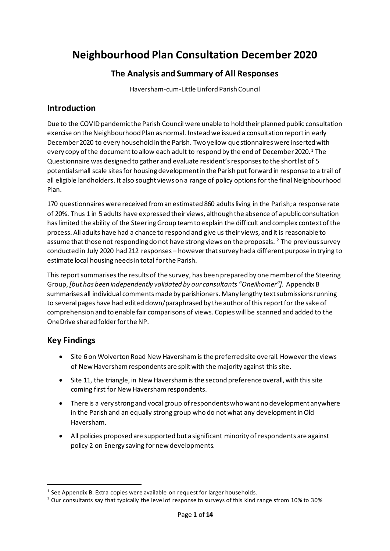# **Neighbourhood Plan Consultation December 2020**

## **The Analysis and Summary of All Responses**

Haversham-cum-Little Linford Parish Council

## **Introduction**

Due to the COVID pandemic the Parish Council were unable to hold their planned public consultation exercise on the Neighbourhood Plan as normal. Instead we issued a consultation report in early December 2020 to every household in the Parish. Two yellow questionnaires were inserted with every copy of the document to allow each adult to respond by the end of December 2020.<sup>1</sup> The Questionnaire was designed to gather and evaluate resident's responsesto the short list of 5 potential small scale sites for housing development in the Parish put forward in response to a trail of all eligible landholders. It also sought views on a range of policy options for the final Neighbourhood Plan.

170 questionnaires were received from an estimated 860 adults living in the Parish; a response rate of 20%. Thus 1 in 5 adults have expressed their views, although the absence of a public consultation has limited the ability of the Steering Group team to explain the difficult and complex context of the process. All adults have had a chance to respond and give us their views, and it is reasonable to assume that those not responding do not have strong views on the proposals.  $2$  The previous survey conducted in July 2020 had 212 responses – however that survey had a different purpose in trying to estimate local housing needs in total for the Parish.

This report summarisesthe results of the survey, has been prepared by one member of the Steering Group, *[but has been independently validated by our consultants "Oneilhomer"].* Appendix B summarises all individual comments made by parishioners. Many lengthy text submissions running to several pages have had edited down/paraphrased by the author of this report for the sake of comprehension and to enable fair comparisons of views. Copies will be scanned and added to the OneDrive shared folder for the NP.

## **Key Findings**

- Site 6 on Wolverton Road New Haversham is the preferred site overall. However the views of New Haversham respondents are split with the majority against this site.
- Site 11, the triangle, in New Haversham is the second preference overall, with this site coming first for New Haversham respondents.
- There is a very strong and vocal group of respondents who want no development anywhere in the Parish and an equally strong group who do not what any development in Old Haversham.
- All policies proposed are supported but a significant minority of respondents are against policy 2 on Energy saving for new developments.

<sup>&</sup>lt;sup>1</sup> See Appendix B. Extra copies were available on request for larger households.

<sup>&</sup>lt;sup>2</sup> Our consultants say that typically the level of response to surveys of this kind range sfrom 10% to 30%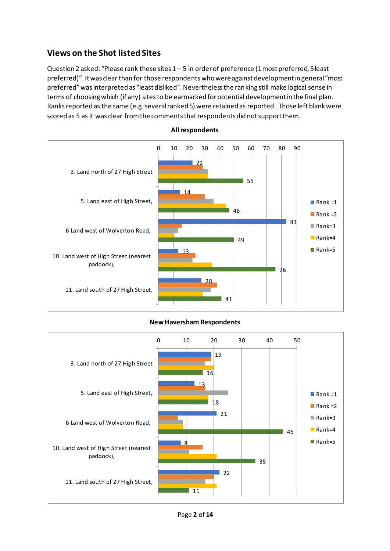# **Views on the Shot listed Sites**

Question 2 asked: "Please rank these sites 1 – 5 in order of preference (1 most preferred, 5 least preferred)". It was clear than for those respondents who were against development in general "most preferred" was interpreted as "least disliked". Nevertheless the ranking still make logical sense in terms of choosing which (if any) sites to be earmarked for potential development in the final plan. Ranks reported as the same (e.g. several ranked 5) were retained as reported. Those left blank were scored as 5 as it was clear from the comments that respondents did not support them.



#### **All respondents**

#### **New Haversham Respondents**

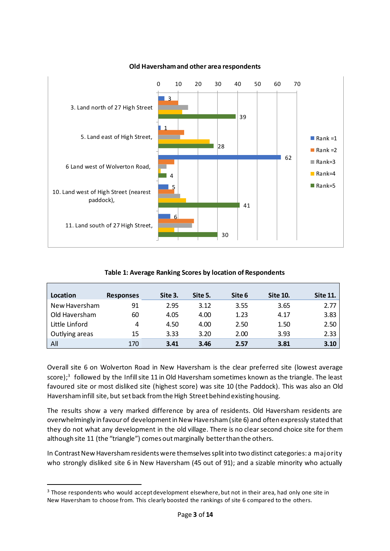

#### **Old Haversham and other area respondents**

**Table 1: Average Ranking Scores by location of Respondents**

| Location       | <b>Responses</b> | Site 3. | Site 5. | Site 6 | <b>Site 10.</b> | <b>Site 11.</b> |
|----------------|------------------|---------|---------|--------|-----------------|-----------------|
| New Haversham  | 91               | 2.95    | 3.12    | 3.55   | 3.65            | 2.77            |
| Old Haversham  | 60               | 4.05    | 4.00    | 1.23   | 4.17            | 3.83            |
| Little Linford | 4                | 4.50    | 4.00    | 2.50   | 1.50            | 2.50            |
| Outlying areas | 15               | 3.33    | 3.20    | 2.00   | 3.93            | 2.33            |
| All            | 170              | 3.41    | 3.46    | 2.57   | 3.81            | 3.10            |

Overall site 6 on Wolverton Road in New Haversham is the clear preferred site (lowest average score); 3 followed by the Infill site 11 in Old Haversham sometimes known as the triangle. The least favoured site or most disliked site (highest score) was site 10 (the Paddock). This was also an Old Haversham infill site, but set back from the High Street behind existing housing.

The results show a very marked difference by area of residents. Old Haversham residents are overwhelmingly in favour of development in New Haversham (site 6) and often expressly stated that they do not what any development in the old village. There is no clear second choice site for them although site 11 (the "triangle") comes out marginally better than the others.

In Contrast New Haversham residents were themselves split into two distinct categories: a majority who strongly disliked site 6 in New Haversham (45 out of 91); and a sizable minority who actually

<sup>&</sup>lt;sup>3</sup> Those respondents who would accept development elsewhere, but not in their area, had only one site in New Haversham to choose from. This clearly boosted the rankings of site 6 compared to the others.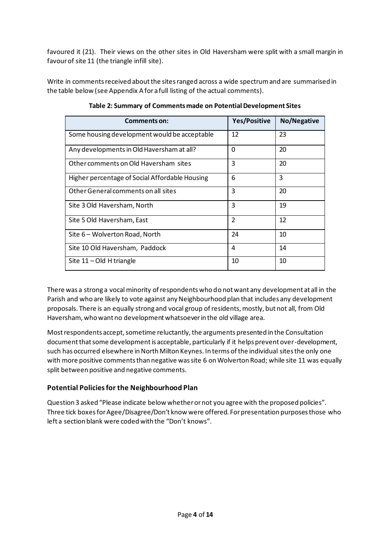favoured it (21). Their views on the other sites in Old Haversham were split with a small margin in favour of site 11 (the triangle infill site).

Write in comments received about the sites ranged across a wide spectrum and are summarised in the table below (see Appendix A for a full listing of the actual comments).

| Comments on:                                   | <b>Yes/Positive</b> | No/Negative |
|------------------------------------------------|---------------------|-------------|
| Some housing development would be acceptable   | 12                  | 23          |
| Any developments in Old Haversham at all?      | 0                   | 20          |
| Other comments on Old Haversham sites          | 3                   | 20          |
| Higher percentage of Social Affordable Housing | 6                   | 3           |
| Other General comments on all sites            | 3                   | 20          |
| Site 3 Old Haversham, North                    | 3                   | 19          |
| Site 5 Old Haversham, East                     | $\overline{2}$      | 12          |
| Site 6 – Wolverton Road, North                 | 24                  | 10          |
| Site 10 Old Haversham, Paddock                 | 4                   | 14          |
| Site $11 - Old$ H triangle                     | 10                  | 10          |

**Table 2: Summary of Comments made on Potential Development Sites**

There was a strong a vocal minority of respondents who do not want any development at all in the Parish and who are likely to vote against any Neighbourhood plan that includes any development proposals. There is an equally strong and vocal group of residents, mostly, but not all, from Old Haversham, who want no development whatsoever in the old village area.

Mostrespondents accept, sometime reluctantly, the arguments presented in the Consultation document that some development is acceptable, particularly if it helps prevent over-development, such has occurred elsewhere in North Milton Keynes. In terms of the individual sites the only one with more positive comments than negative was site 6 on Wolverton Road; while site 11 was equally split between positive and negative comments.

#### **Potential Policies for the Neighbourhood Plan**

Question 3 asked "Please indicate below whether or not you agree with the proposed policies". Three tick boxes for Agee/Disagree/Don't know were offered. For presentation purposes those who left a section blank were coded with the "Don't knows".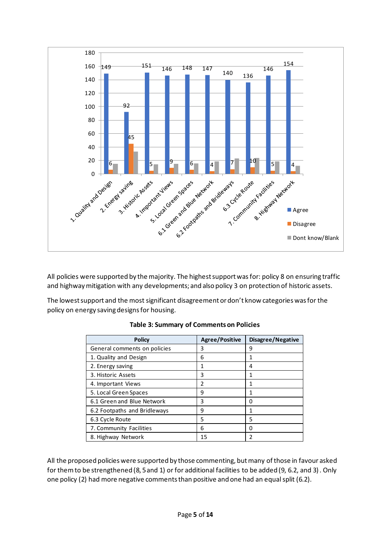

All policies were supported by the majority. The highest support was for: policy 8 on ensuring traffic and highway mitigation with any developments; and also policy 3 on protection of historic assets.

The lowest support and the most significant disagreement or don't know categories was for the policy on energy saving designs for housing.

| <b>Policy</b>                | <b>Agree/Positive</b> | Disagree/Negative |
|------------------------------|-----------------------|-------------------|
| General comments on policies | 3                     | 9                 |
| 1. Quality and Design        | 6                     | 1                 |
| 2. Energy saving             | 1                     | 4                 |
| 3. Historic Assets           | 3                     | 1                 |
| 4. Important Views           | 2                     | 1                 |
| 5. Local Green Spaces        | 9                     | 1                 |
| 6.1 Green and Blue Network   | 3                     | 0                 |
| 6.2 Footpaths and Bridleways | 9                     | 1                 |
| 6.3 Cycle Route              | 5                     | 5                 |
| 7. Community Facilities      | 6                     | 0                 |
| 8. Highway Network           | 15                    | 2                 |

**Table 3: Summary of Comments on Policies**

All the proposed policies were supported by those commenting, but many of those in favour asked for them to be strengthened (8, 5 and 1) or for additional facilities to be added (9, 6.2, and 3). Only one policy (2) had more negative comments than positive and one had an equal split (6.2).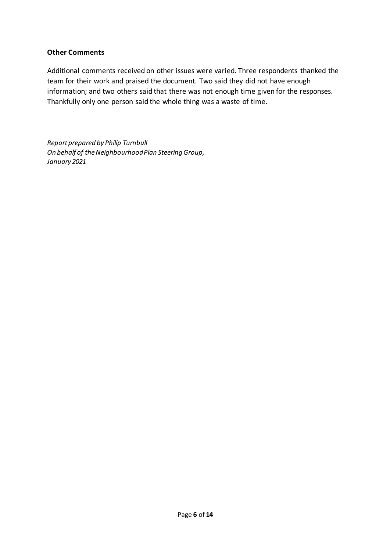#### **Other Comments**

Additional comments received on other issues were varied. Three respondents thanked the team for their work and praised the document. Two said they did not have enough information; and two others said that there was not enough time given for the responses. Thankfully only one person said the whole thing was a waste of time.

*Report prepared by Philip Turnbull On behalf of the Neighbourhood Plan Steering Group, January 2021*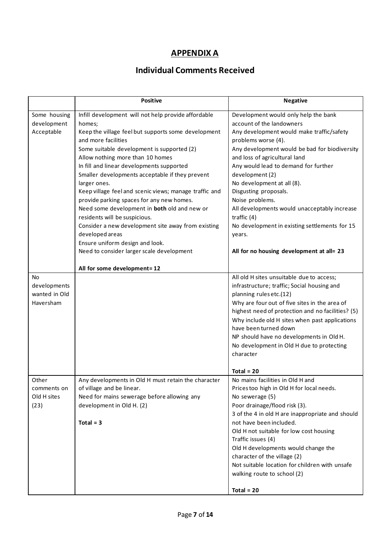# **APPENDIX A**

# **Individual Comments Received**

|               | <b>Positive</b>                                        | <b>Negative</b>                                   |
|---------------|--------------------------------------------------------|---------------------------------------------------|
| Some housing  | Infill development will not help provide affordable    | Development would only help the bank              |
| development   | homes;                                                 | account of the landowners                         |
| Acceptable    | Keep the village feel but supports some development    | Any development would make traffic/safety         |
|               | and more facilities                                    | problems worse (4).                               |
|               | Some suitable development is supported (2)             | Any development would be bad for biodiversity     |
|               | Allow nothing more than 10 homes                       | and loss of agricultural land                     |
|               | In fill and linear developments supported              | Any would lead to demand for further              |
|               | Smaller developments acceptable if they prevent        | development (2)                                   |
|               | larger ones.                                           | No development at all (8).                        |
|               | Keep village feel and scenic views; manage traffic and | Disgusting proposals.                             |
|               | provide parking spaces for any new homes.              | Noise problems.                                   |
|               | Need some development in both old and new or           | All developments would unacceptably increase      |
|               | residents will be suspicious.                          | traffic $(4)$                                     |
|               | Consider a new development site away from existing     | No development in existing settlements for 15     |
|               | developed areas                                        | years.                                            |
|               | Ensure uniform design and look.                        |                                                   |
|               | Need to consider larger scale development              | All for no housing development at all= 23         |
|               |                                                        |                                                   |
|               | All for some development=12                            |                                                   |
| <b>No</b>     |                                                        | All old H sites unsuitable due to access;         |
| developments  |                                                        | infrastructure; traffic; Social housing and       |
| wanted in Old |                                                        | planning rules etc.(12)                           |
| Haversham     |                                                        | Why are four out of five sites in the area of     |
|               |                                                        | highest need of protection and no facilities? (5) |
|               |                                                        | Why include old H sites when past applications    |
|               |                                                        | have been turned down                             |
|               |                                                        | NP should have no developments in Old H.          |
|               |                                                        | No development in Old H due to protecting         |
|               |                                                        | character                                         |
|               |                                                        | Total = $20$                                      |
| Other         | Any developments in Old H must retain the character    | No mains facilities in Old H and                  |
| comments on   | of village and be linear.                              | Prices too high in Old H for local needs.         |
| Old H sites   | Need for mains sewerage before allowing any            | No sewerage (5)                                   |
| (23)          | development in Old H. (2)                              | Poor drainage/flood risk (3).                     |
|               |                                                        | 3 of the 4 in old H are inappropriate and should  |
|               | $Total = 3$                                            | not have been included.                           |
|               |                                                        | Old H not suitable for low cost housing           |
|               |                                                        | Traffic issues (4)                                |
|               |                                                        | Old H developments would change the               |
|               |                                                        | character of the village (2)                      |
|               |                                                        | Not suitable location for children with unsafe    |
|               |                                                        | walking route to school (2)                       |
|               |                                                        |                                                   |
|               |                                                        | $Total = 20$                                      |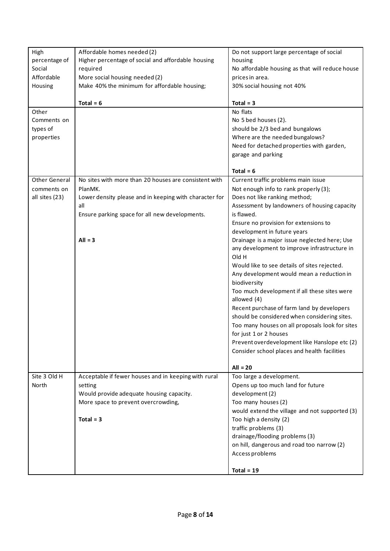| High                 | Affordable homes needed (2)                            | Do not support large percentage of social                   |
|----------------------|--------------------------------------------------------|-------------------------------------------------------------|
| percentage of        | Higher percentage of social and affordable housing     | housing                                                     |
| Social               | required                                               | No affordable housing as that will reduce house             |
| Affordable           | More social housing needed (2)                         | prices in area.                                             |
| Housing              | Make 40% the minimum for affordable housing;           | 30% social housing not 40%                                  |
|                      |                                                        |                                                             |
|                      | Total = $6$                                            | $Total = 3$                                                 |
| Other                |                                                        | No flats                                                    |
| Comments on          |                                                        | No 5 bed houses (2).                                        |
| types of             |                                                        | should be 2/3 bed and bungalows                             |
| properties           |                                                        | Where are the needed bungalows?                             |
|                      |                                                        | Need for detached properties with garden,                   |
|                      |                                                        | garage and parking                                          |
|                      |                                                        |                                                             |
|                      |                                                        | Total = $6$                                                 |
| <b>Other General</b> | No sites with more than 20 houses are consistent with  | Current traffic problems main issue                         |
| comments on          | PlanMK.                                                | Not enough info to rank properly (3);                       |
| all sites (23)       | Lower density please and in keeping with character for | Does not like ranking method;                               |
|                      | all                                                    | Assessment by landowners of housing capacity                |
|                      | Ensure parking space for all new developments.         | is flawed.                                                  |
|                      |                                                        | Ensure no provision for extensions to                       |
|                      |                                                        | development in future years                                 |
|                      | $All = 3$                                              | Drainage is a major issue neglected here; Use               |
|                      |                                                        | any development to improve infrastructure in                |
|                      |                                                        | Old H                                                       |
|                      |                                                        | Would like to see details of sites rejected.                |
|                      |                                                        | Any development would mean a reduction in                   |
|                      |                                                        | biodiversity                                                |
|                      |                                                        | Too much development if all these sites were<br>allowed (4) |
|                      |                                                        | Recent purchase of farm land by developers                  |
|                      |                                                        | should be considered when considering sites.                |
|                      |                                                        | Too many houses on all proposals look for sites             |
|                      |                                                        | for just 1 or 2 houses                                      |
|                      |                                                        | Prevent overdevelopment like Hanslope etc (2)               |
|                      |                                                        | Consider school places and health facilities                |
|                      |                                                        |                                                             |
|                      |                                                        | $All = 20$                                                  |
| Site 3 Old H         | Acceptable if fewer houses and in keeping with rural   | Too large a development.                                    |
| North                | setting                                                | Opens up too much land for future                           |
|                      | Would provide adequate housing capacity.               | development (2)                                             |
|                      | More space to prevent overcrowding,                    | Too many houses (2)                                         |
|                      |                                                        | would extend the village and not supported (3)              |
|                      | $Total = 3$                                            | Too high a density (2)                                      |
|                      |                                                        | traffic problems (3)                                        |
|                      |                                                        | drainage/flooding problems (3)                              |
|                      |                                                        | on hill, dangerous and road too narrow (2)                  |
|                      |                                                        | Access problems                                             |
|                      |                                                        |                                                             |
|                      |                                                        | Total = $19$                                                |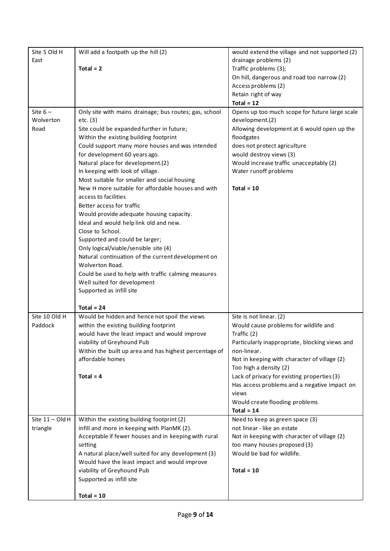| Site 5 Old H<br>East | Will add a footpath up the hill (2)                                                | would extend the village and not supported (2)<br>drainage problems (2)                     |
|----------------------|------------------------------------------------------------------------------------|---------------------------------------------------------------------------------------------|
|                      | $Total = 2$                                                                        | Traffic problems (3);                                                                       |
|                      |                                                                                    | On hill, dangerous and road too narrow (2)                                                  |
|                      |                                                                                    | Access problems (2)                                                                         |
|                      |                                                                                    | Retain right of way                                                                         |
|                      |                                                                                    | Total = $12$                                                                                |
| Site $6-$            | Only site with mains drainage; bus routes; gas, school                             | Opens up too much scope for future large scale                                              |
| Wolverton            | etc. (3)                                                                           | development.(2)                                                                             |
| Road                 | Site could be expanded further in future;                                          | Allowing development at 6 would open up the                                                 |
|                      | Within the existing building footprint                                             | floodgates                                                                                  |
|                      | Could support many more houses and was intended                                    | does not protect agriculture                                                                |
|                      | for development 60 years ago.                                                      | would destroy views (3)                                                                     |
|                      | Natural place for development.(2)                                                  | Would increase traffic unacceptably (2)                                                     |
|                      | In keeping with look of village.                                                   | Water runoff problems                                                                       |
|                      | Most suitable for smaller and social housing                                       |                                                                                             |
|                      | New H more suitable for affordable houses and with                                 | $Total = 10$                                                                                |
|                      | access to facilities                                                               |                                                                                             |
|                      | Better access for traffic                                                          |                                                                                             |
|                      | Would provide adequate housing capacity.                                           |                                                                                             |
|                      | Ideal and would help link old and new.                                             |                                                                                             |
|                      | Close to School.                                                                   |                                                                                             |
|                      | Supported and could be larger;                                                     |                                                                                             |
|                      | Only logical/viable/sensible site (4)                                              |                                                                                             |
|                      | Natural continuation of the current development on<br>Wolverton Road.              |                                                                                             |
|                      |                                                                                    |                                                                                             |
|                      | Could be used to help with traffic calming measures<br>Well suited for development |                                                                                             |
|                      | Supported as infill site                                                           |                                                                                             |
|                      |                                                                                    |                                                                                             |
|                      | Total = $24$                                                                       |                                                                                             |
| Site 10 Old H        | Would be hidden and hence not spoil the views                                      | Site is not linear. (2)                                                                     |
| Paddock              | within the existing building footprint                                             | Would cause problems for wildlife and                                                       |
|                      | would have the least impact and would improve                                      | Traffic (2)                                                                                 |
|                      | viability of Greyhound Pub                                                         | Particularly inappropriate, blocking views and                                              |
|                      | Within the built up area and has highest percentage of                             | non-linear.                                                                                 |
|                      | affordable homes                                                                   | Not in keeping with character of village (2)                                                |
|                      |                                                                                    | Too high a density (2)                                                                      |
|                      | Total = $4$                                                                        | Lack of privacy for existing properties (3)<br>Has access problems and a negative impact on |
|                      |                                                                                    | views                                                                                       |
|                      |                                                                                    | Would create flooding problems                                                              |
|                      |                                                                                    | Total = $14$                                                                                |
| Site $11 - Old H$    | Within the existing building footprint (2)                                         | Need to keep as green space (3)                                                             |
| triangle             | infill and more in keeping with PlanMK (2).                                        | not linear - like an estate                                                                 |
|                      | Acceptable if fewer houses and in keeping with rural                               | Not in keeping with character of village (2)                                                |
|                      | setting                                                                            | too many houses proposed (3)                                                                |
|                      | A natural place/well suited for any development (3)                                | Would be bad for wildlife.                                                                  |
|                      | Would have the least impact and would improve                                      |                                                                                             |
|                      | viability of Greyhound Pub                                                         | Total = $10$                                                                                |
|                      | Supported as infill site                                                           |                                                                                             |
|                      |                                                                                    |                                                                                             |
|                      | $Total = 10$                                                                       |                                                                                             |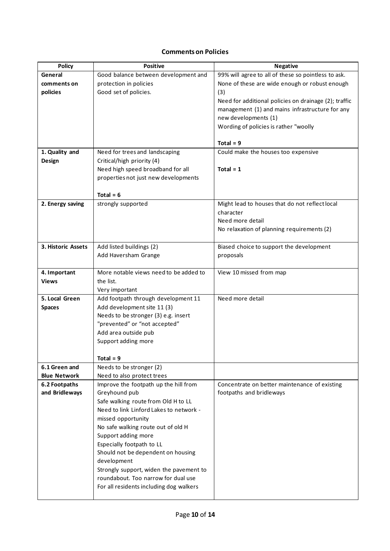# **Comments on Policies**

| <b>Policy</b>       | <b>Positive</b>                                                                | <b>Negative</b>                                       |
|---------------------|--------------------------------------------------------------------------------|-------------------------------------------------------|
| General             | Good balance between development and                                           | 99% will agree to all of these so pointless to ask.   |
| comments on         | protection in policies                                                         | None of these are wide enough or robust enough        |
| policies            | Good set of policies.                                                          | (3)                                                   |
|                     |                                                                                | Need for additional policies on drainage (2); traffic |
|                     |                                                                                | management (1) and mains infrastructure for any       |
|                     |                                                                                | new developments (1)                                  |
|                     |                                                                                | Wording of policies is rather "woolly                 |
|                     |                                                                                |                                                       |
|                     |                                                                                | $Total = 9$                                           |
| 1. Quality and      | Need for trees and landscaping                                                 | Could make the houses too expensive                   |
| Design              | Critical/high priority (4)                                                     |                                                       |
|                     | Need high speed broadband for all                                              | Total = $1$                                           |
|                     | properties not just new developments                                           |                                                       |
|                     | Total = $6$                                                                    |                                                       |
| 2. Energy saving    | strongly supported                                                             | Might lead to houses that do not reflect local        |
|                     |                                                                                | character                                             |
|                     |                                                                                | Need more detail                                      |
|                     |                                                                                | No relaxation of planning requirements (2)            |
|                     |                                                                                |                                                       |
| 3. Historic Assets  | Add listed buildings (2)                                                       | Biased choice to support the development              |
|                     | Add Haversham Grange                                                           | proposals                                             |
|                     |                                                                                |                                                       |
| 4. Important        | More notable views need to be added to                                         | View 10 missed from map                               |
| <b>Views</b>        | the list.<br>Very important                                                    |                                                       |
| 5. Local Green      | Add footpath through development 11                                            | Need more detail                                      |
| <b>Spaces</b>       | Add development site 11 (3)                                                    |                                                       |
|                     | Needs to be stronger (3) e.g. insert                                           |                                                       |
|                     | "prevented" or "not accepted"                                                  |                                                       |
|                     | Add area outside pub                                                           |                                                       |
|                     | Support adding more                                                            |                                                       |
|                     |                                                                                |                                                       |
|                     | Total = $9$                                                                    |                                                       |
| 6.1 Green and       | Needs to be stronger (2)                                                       |                                                       |
| <b>Blue Network</b> | Need to also protect trees                                                     |                                                       |
| 6.2 Footpaths       | Improve the footpath up the hill from                                          | Concentrate on better maintenance of existing         |
| and Bridleways      | Greyhound pub                                                                  | footpaths and bridleways                              |
|                     | Safe walking route from Old H to LL<br>Need to link Linford Lakes to network - |                                                       |
|                     |                                                                                |                                                       |
|                     | missed opportunity                                                             |                                                       |
|                     | No safe walking route out of old H<br>Support adding more                      |                                                       |
|                     | Especially footpath to LL                                                      |                                                       |
|                     | Should not be dependent on housing                                             |                                                       |
|                     | development                                                                    |                                                       |
|                     | Strongly support, widen the pavement to                                        |                                                       |
|                     | roundabout. Too narrow for dual use                                            |                                                       |
|                     | For all residents including dog walkers                                        |                                                       |
|                     |                                                                                |                                                       |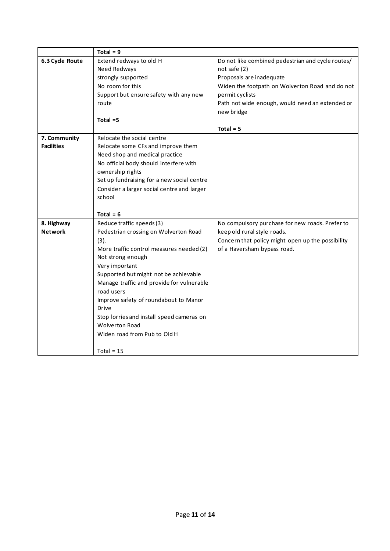|                   | Total = $9$                                |                                                   |
|-------------------|--------------------------------------------|---------------------------------------------------|
| 6.3 Cycle Route   | Extend redways to old H                    | Do not like combined pedestrian and cycle routes/ |
|                   | Need Redways                               | not safe (2)                                      |
|                   | strongly supported                         | Proposals are inadequate                          |
|                   | No room for this                           | Widen the footpath on Wolverton Road and do not   |
|                   | Support but ensure safety with any new     | permit cyclists                                   |
|                   | route                                      | Path not wide enough, would need an extended or   |
|                   |                                            | new bridge                                        |
|                   | Total $=5$                                 |                                                   |
|                   |                                            | $Total = 5$                                       |
| 7. Community      | Relocate the social centre                 |                                                   |
| <b>Facilities</b> | Relocate some CFs and improve them         |                                                   |
|                   | Need shop and medical practice             |                                                   |
|                   | No official body should interfere with     |                                                   |
|                   | ownership rights                           |                                                   |
|                   | Set up fundraising for a new social centre |                                                   |
|                   | Consider a larger social centre and larger |                                                   |
|                   | school                                     |                                                   |
|                   |                                            |                                                   |
|                   | Total = $6$                                |                                                   |
| 8. Highway        | Reduce traffic speeds (3)                  | No compulsory purchase for new roads. Prefer to   |
| <b>Network</b>    | Pedestrian crossing on Wolverton Road      | keep old rural style roads.                       |
|                   | (3).                                       | Concern that policy might open up the possibility |
|                   | More traffic control measures needed (2)   | of a Haversham bypass road.                       |
|                   | Not strong enough                          |                                                   |
|                   | Very important                             |                                                   |
|                   | Supported but might not be achievable      |                                                   |
|                   | Manage traffic and provide for vulnerable  |                                                   |
|                   | road users                                 |                                                   |
|                   | Improve safety of roundabout to Manor      |                                                   |
|                   | <b>Drive</b>                               |                                                   |
|                   | Stop lorries and install speed cameras on  |                                                   |
|                   | <b>Wolverton Road</b>                      |                                                   |
|                   | Widen road from Pub to Old H               |                                                   |
|                   | Total = $15$                               |                                                   |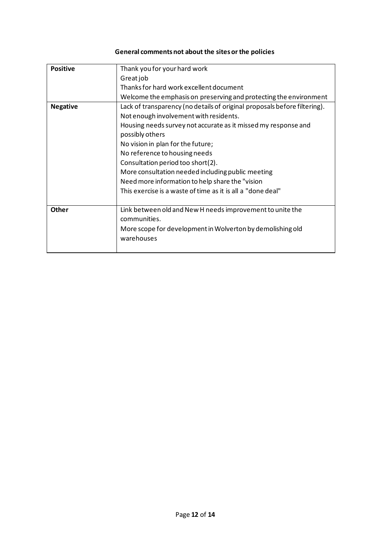## **General comments not about the sites or the policies**

| <b>Positive</b> | Thank you for your hard work                                              |
|-----------------|---------------------------------------------------------------------------|
|                 | Greatjob                                                                  |
|                 | Thanks for hard work excellent document                                   |
|                 | Welcome the emphasis on preserving and protecting the environment         |
| <b>Negative</b> | Lack of transparency (no details of original proposals before filtering). |
|                 | Not enough involvement with residents.                                    |
|                 | Housing needs survey not accurate as it missed my response and            |
|                 | possibly others                                                           |
|                 | No vision in plan for the future;                                         |
|                 | No reference to housing needs                                             |
|                 | Consultation period too short(2).                                         |
|                 | More consultation needed including public meeting                         |
|                 | Need more information to help share the "vision                           |
|                 | This exercise is a waste of time as it is all a "done deal"               |
|                 |                                                                           |
| <b>Other</b>    | Link between old and New H needs improvement to unite the                 |
|                 | communities.                                                              |
|                 | More scope for development in Wolverton by demolishing old                |
|                 | warehouses                                                                |
|                 |                                                                           |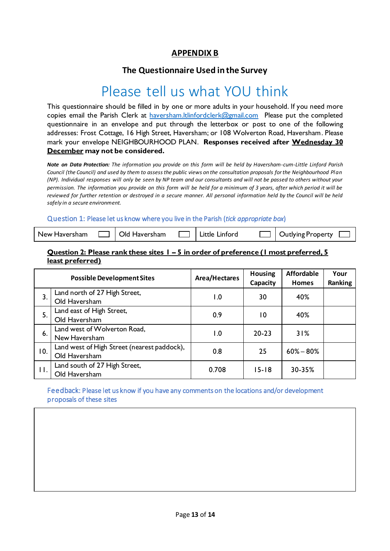### **APPENDIX B**

## **The Questionnaire Used in the Survey**

# Please tell us what YOU think

This questionnaire should be filled in by one or more adults in your household. If you need more copies email the Parish Clerk at haversham. It linford clerk@gmail.com Please put the completed questionnaire in an envelope and put through the letterbox or post to one of the following addresses: Frost Cottage, 16 High Street, Haversham; or 108 Wolverton Road, Haversham. Please mark your envelope NEIGHBOURHOOD PLAN. **Responses received after Wednesday 30 December may not be considered.**

*Note on Data Protection: The information you provide on this form will be held by Haversham-cum-Little Linford Parish Council (the Council) and used by them to assess the public views on the consultation proposals for the Neighbourhood Plan (NP). Individual responses will only be seen by NP team and our consultants and will not be passed to others without your permission. The information you provide on this form will be held for a minimum of 3 years, after which period it will be reviewed for further retention or destroyed in a secure manner. All personal information held by the Council will be held safely in a secure environment.* 

#### Question 1: Please let us know where you live in the Parish (*tick appropriate box*)

| New Haversham | ┐∣Old Haversham |  | $\Box$   Outlying Property $\Box$ |
|---------------|-----------------|--|-----------------------------------|
|               |                 |  |                                   |

#### **Question 2: Please rank these sites 1 – 5 in order of preference (1 most preferred, 5 least preferred)**

| <b>Possible Development Sites</b> |                                                              | Area/Hectares    | <b>Housing</b><br>Capacity | <b>Affordable</b><br><b>Homes</b> | Your<br>Ranking |
|-----------------------------------|--------------------------------------------------------------|------------------|----------------------------|-----------------------------------|-----------------|
| 3.                                | Land north of 27 High Street,<br>Old Haversham               | $\overline{0}$ . | 30                         | 40%                               |                 |
| 5.                                | Land east of High Street,<br>Old Haversham                   | 0.9              | 10                         | 40%                               |                 |
| 6.                                | Land west of Wolverton Road,<br>New Haversham                | $\overline{0}$ . | $20 - 23$                  | 31%                               |                 |
| 10.                               | Land west of High Street (nearest paddock),<br>Old Haversham | 0.8              | 25                         | $60\% - 80\%$                     |                 |
| $\mathbf{H}$ .                    | Land south of 27 High Street,<br>Old Haversham               | 0.708            | $15 - 18$                  | 30-35%                            |                 |

#### Feedback: Please let us know if you have any comments on the locations and/or development proposals of these sites